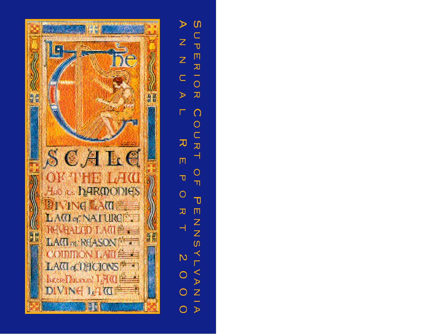

 $\omega$  $\blacktriangleright$ OPER  $\mathsf{Z}$  $\overline{z}$  $\overline{O}$  $\subset$  $\mathbb{R} \quad \mathbb{R}$  $\Omega$  $\Gamma$ OUR  $\overline{\mathbf{U}}$  $\overline{\phantom{0}}$  $\overline{\Pi}$  $\circ$  $\overline{\mathbf{U}}$  $\overline{\mathbb{T}}$  $\bigcirc$  $\overline{\mathbf{U}}$  $\begin{array}{c}\n\pi \\
\pi \\
\vdash\n\end{array}$  $7\lambda$  S  $\overline{\mathsf{N}}$  $\begin{array}{c}\n0 \\
1 \\
\end{array}$  $\circ$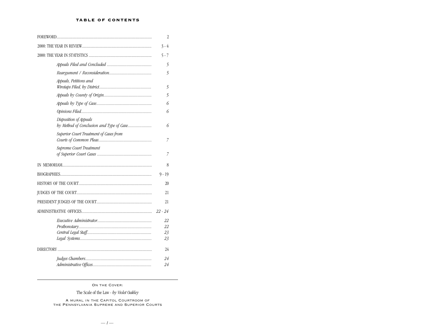# TABLE OF CONTENTS

|                                        | 2                    |
|----------------------------------------|----------------------|
|                                        | $3 - 4$              |
|                                        | $5 - 7$              |
|                                        | 5                    |
|                                        | 5                    |
| Appeals, Petitions and                 | 5                    |
|                                        | 5                    |
|                                        | 6                    |
|                                        | 6                    |
| Disposition of Appeals                 | 6                    |
| Superior Court Treatment of Cases from | 7                    |
| Supreme Court Treatment                | 7                    |
|                                        | 8                    |
|                                        | 9 - 19               |
|                                        | 20                   |
|                                        | 21                   |
|                                        | 21                   |
|                                        |                      |
|                                        | 22<br>22<br>23<br>23 |
|                                        | 24                   |
|                                        | 24<br>24             |

On the Cover:

The Scale of the Law - *by Violet Oakley*

A mural in the Capitol Courtroom of the Pennsylvania Supreme and Superior Courts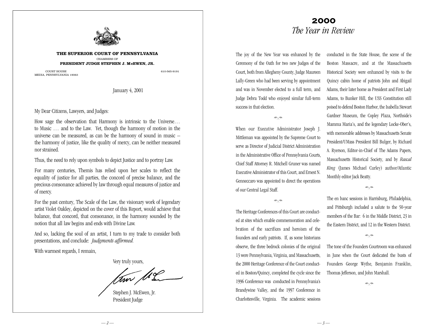

**THE SUPERIOR COURT OF PENNSYLVANIA** CHAMBERS OF **PRESIDENT JUDGE STEPHEN J. McEWEN, JR.**

COURT HOUSE 610-565-9191 MEDIA, PENNSYLVANIA 19063

January 4, 2001

# My Dear Citizens, Lawyers, and Judges:

How sage the observation that Harmony is intrinsic to the Universe… to Music … and to the Law. Yet, though the harmony of motion in the universe can be measured, as can be the harmony of sound in music – the harmony of justice, like the quality of mercy, can be neither measured nor strained.

Thus, the need to rely upon symbols to depict Justice and to portray Law.

For many centuries, Themis has relied upon her scales to reflect the equality of justice for all parties, the concord of precise balance, and the precious consonance achieved by law through equal measures of justice and of mercy.

For the past century, The Scale of the Law, the visionary work of legendary artist Violet Oakley, depicted on the cover of this Report, would achieve that balance, that concord, that consonance, in the harmony sounded by the notion that all law begins and ends with Divine Law.

And so, lacking the soul of an artist, I turn to my trade to consider both presentations, and conclude: *Judgments affirmed.*

With warmest regards, I remain,

Very truly yours,

tom Me

Stephen J. McEwen, Jr. President Judge

# 2000 *The Year in Review*

The joy of the New Year was enhanced by the Ceremony of the Oath for two new Judges of the Court, both from Allegheny County, Judge Maureen Lally-Green who had been serving by appointment and was in November elected to a full term, and Judge Debra Todd who enjoyed similar full-term success in that election.

 $\approx$ 

When our Executive Administrator Joseph J. Mittleman was appointed by the Supreme Court to serve as Director of Judicial District Administration in the Administrative Office of Pennsylvania Courts, Chief Staff Attorney R. Mitchell Gruner was named Executive Administrator of this Court, and Ernest N. Genneccaro was appointed to direct the operations of our Central Legal Staff.

# $\alpha$

The Heritage Conferences of this Court are conducted at sites which enable commemoration and celebration of the sacrifices and heroism of the founders and early patriots. If, as some historians observe, the three bedrock colonies of the original 13 were Pennsylvania, Virginia, and Massachusetts, the 2000 Heritage Conference of the Court conducted in Boston/Quincy, completed the cycle since the 1996 Conference was conducted in Pennsylvania's Brandywine Valley, and the 1997 Conference in Charlottesville, Virginia. The academic sessions conducted in the State House, the scene of the Boston Massacre, and at the Massachusetts Historical Society were enhanced by visits to the Quincy cabin home of patriots John and Abigail Adams, their later home as President and First Lady Adams, to Bunker Hill, the USS Constitution still poised to defend Boston Harbor, the Isabella Stewart Gardner Museum, the Copley Plaza, Northside's Mamma Maria's, and the legendary Locke-Ober's, with memorable addresses by Massachusetts Senate President/UMass President Bill Bulger, by Richard A. Ryerson, Editor-in-Chief of The Adams Papers, Massachusetts Historical Society, and by *Rascal King* (James Michael Curley) author/Atlantic Monthly editor Jack Beatty.

 $\approx$ 

The en banc sessions in Harrisburg, Philadelphia, and Pittsburgh included a salute to the 50-year members of the Bar: 6 in the Middle District, 23 in the Eastern District, and 12 in the Western District.

 $\approx$ 

The tone of the Founders Courtroom was enhanced in June when the Court dedicated the busts of Founders George Wythe, Benjamin Franklin, Thomas Jefferson, and John Marshall.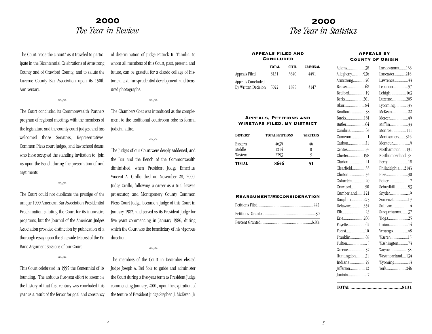# 2000 *The Year in Review*

The Court "rode the circuit" as it traveled to participate in the Bicentennial Celebrations of Armstrong County and of Crawford County, and to salute the Luzerne County Bar Association upon its 150th Anniversary.

The Court concluded its Commonwealth Partners program of regional meetings with the members of the legislature and the county court judges, and has welcomed those Senators, Representatives, Common Pleas court judges, and law school deans, who have accepted the standing invitation to join us upon the Bench during the presentation of oral arguments.

 $\approx$ 

The Court could not duplicate the prestige of the unique 1999 American Bar Association Presidential Proclamation saluting the Court for its innovative programs, but the Journal of the American Judges Association provided distinction by publication of a thorough essay upon the statewide telecast of the En Banc Argument Sessions of our Court.

This Court celebrated in 1995 the Centennial of its founding. The arduous five-year effort to assemble the history of that first century was concluded this year as a result of the fervor for goal and constancy

of determination of Judge Patrick R. Tamilia, to whom all members of this Court, past, present, and future, can be grateful for a classic collage of historical text, jurisprudential development, and treasured photographs.

The Chambers Coat was introduced as the complement to the traditional courtroom robe as formal judicial attire.

 $\approx$ 

The Judges of our Court were deeply saddened, and the Bar and the Bench of the Commonwealth diminished, when President Judge Emeritus Vincent A. Cirillo died on November 28, 2000. Judge Cirillo, following a career as a trial lawyer, prosecutor, and Montgomery County Common Pleas Court Judge, became a Judge of this Court in January 1982, and served as its President Judge for five years commencing in January 1986, during which the Court was the beneficiary of his vigorous direction.

 $\approx$ 

The members of the Court in December elected Judge Joseph A. Del Sole to guide and administer the Court during a five-year term as President Judge commencing January, 2001, upon the expiration of the tenure of President Judge Stephen J. McEwen, Jr.

# 2000 *The Year in Statistics*

### Appeals Filed and **CONCLUDED**

|                                          | <b>TOTAL</b> | CIVIL | <b>CRIMINAL</b> |
|------------------------------------------|--------------|-------|-----------------|
| Appeals Filed                            | 8131         | 3640  | 4491            |
| Appeals Concluded<br>By Written Decision | 5022         | 1875  | 3147            |

### Appeals, Petitions and Wiretaps Filed, By District

| <b>DISTRICT</b> | <b>TOTAL PETITIONS</b> | <b>WIRETAPS</b> |
|-----------------|------------------------|-----------------|
| Eastern         | 4639                   | 46              |
| Middle          | 1214                   | 0               |
| Western         | 2793                   |                 |
| <b>TOTAL</b>    | 8646                   | 51              |

# Reargument/Reconsideration

# Appeals by County of Origin

| Allegheny936<br>Armstrong26<br>Bedford19<br>Berks201<br>Bradford38<br>Bucks181<br>Cameron1<br>Carbon31<br>Centre95<br>Chester198<br>Clarion21<br>Clearfield33<br>Clinton34<br>Columbia20<br>Crawford50<br>Cumberland121<br>Dauphin273<br>Delaware354<br>Elk23<br>Erie260<br>Forest10<br>Greene37<br>Huntingdon31<br>Indiana29<br>Jefferson12<br>Juniata7 | Adams38 | Lackawanna138    |
|----------------------------------------------------------------------------------------------------------------------------------------------------------------------------------------------------------------------------------------------------------------------------------------------------------------------------------------------------------|---------|------------------|
|                                                                                                                                                                                                                                                                                                                                                          |         | Lancaster216     |
|                                                                                                                                                                                                                                                                                                                                                          |         | Lawrence33       |
|                                                                                                                                                                                                                                                                                                                                                          |         | Lebanon57        |
|                                                                                                                                                                                                                                                                                                                                                          |         | Lehigh163        |
|                                                                                                                                                                                                                                                                                                                                                          |         | Luzerne205       |
|                                                                                                                                                                                                                                                                                                                                                          |         | Lycoming135      |
|                                                                                                                                                                                                                                                                                                                                                          |         | McKean22         |
|                                                                                                                                                                                                                                                                                                                                                          |         | Mercer49         |
|                                                                                                                                                                                                                                                                                                                                                          |         | Mifflin33        |
|                                                                                                                                                                                                                                                                                                                                                          |         | Monroe111        |
|                                                                                                                                                                                                                                                                                                                                                          |         | Montgomery316    |
|                                                                                                                                                                                                                                                                                                                                                          |         | Montour9         |
|                                                                                                                                                                                                                                                                                                                                                          |         | Northampton131   |
|                                                                                                                                                                                                                                                                                                                                                          |         | Northumberland38 |
|                                                                                                                                                                                                                                                                                                                                                          |         | Perry18          |
|                                                                                                                                                                                                                                                                                                                                                          |         | Philadelphia2143 |
|                                                                                                                                                                                                                                                                                                                                                          |         | Pike30           |
|                                                                                                                                                                                                                                                                                                                                                          |         |                  |
|                                                                                                                                                                                                                                                                                                                                                          |         | Schuylkill93     |
|                                                                                                                                                                                                                                                                                                                                                          |         | Snyder19         |
|                                                                                                                                                                                                                                                                                                                                                          |         | Somerset19       |
|                                                                                                                                                                                                                                                                                                                                                          |         | Sullivan 4       |
|                                                                                                                                                                                                                                                                                                                                                          |         | Susquehanna37    |
|                                                                                                                                                                                                                                                                                                                                                          |         | Tioga25          |
|                                                                                                                                                                                                                                                                                                                                                          |         | Union14          |
|                                                                                                                                                                                                                                                                                                                                                          |         | Venango48        |
|                                                                                                                                                                                                                                                                                                                                                          |         | Warren15         |
|                                                                                                                                                                                                                                                                                                                                                          |         | Washington73     |
|                                                                                                                                                                                                                                                                                                                                                          |         | Wayne38          |
|                                                                                                                                                                                                                                                                                                                                                          |         | Westmoreland134  |
|                                                                                                                                                                                                                                                                                                                                                          |         | Wyoming13        |
|                                                                                                                                                                                                                                                                                                                                                          |         | York246          |
|                                                                                                                                                                                                                                                                                                                                                          |         |                  |
|                                                                                                                                                                                                                                                                                                                                                          |         |                  |

**TOTAL ..........................................8131**

 $\approx$ 

 $\Rightarrow \Rightarrow$ 

 $a \rightarrow$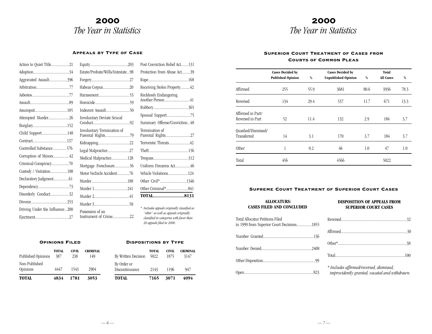# 2000 *The Year in Statistics*

# 2000 *The Year in Statistics*

### Appeals by Type of Case

| Action to Quiet Title21        |                                                 |
|--------------------------------|-------------------------------------------------|
|                                | Estate/Probate/Wills/Intestate98                |
| Aggravated Assault396          |                                                 |
|                                | Habeas Corpus20                                 |
|                                |                                                 |
|                                |                                                 |
|                                | Indecent Assault50                              |
| Attempted Murder26             | Involuntary Deviate Sexual                      |
|                                |                                                 |
| Child Support148               | Involuntary Termination of<br>Parental Rights79 |
|                                |                                                 |
| Controlled Substance576        | Legal Malpractice27                             |
| Corruption of Minors42         | Medical Malpractice128                          |
| Criminal Conspiracy70          | Mortgage Foreclosure56                          |
| Custody / Visitation188        | Motor Vechicle Accident76                       |
|                                |                                                 |
|                                | Murder 1241                                     |
| Disorderly Conduct32           |                                                 |
|                                |                                                 |
| Driving Under the Influence200 | Possession of an                                |
|                                | Instrument of Crime22                           |

| Post Conviction Relief Act131       |
|-------------------------------------|
| Protection from Abuse Act39         |
|                                     |
| Receiving Stolen Property42         |
| Recklessly Endangering              |
| Another Person41                    |
|                                     |
| Spousal Support75                   |
| Summary Offense/Conviction48        |
| Termination of<br>Parental Rights27 |
| Terroristic Threats42               |
|                                     |
|                                     |
| Uniform Firearms Act46              |
| Vehicle Violations124               |
| Other Civil*1346                    |
|                                     |
| <b>TOTAL8131</b>                    |
|                                     |
|                                     |

*\* Includes appeals originally classified as "other" as well as appeals originally classified in categories with fewer than 20 appeals filed in 2000.*

|                           | <b>OPINIONS FILED</b> |              |                        |
|---------------------------|-----------------------|--------------|------------------------|
| Published Opinions        | <b>TOTAL</b><br>387   | CIVIL<br>238 | <b>CRIMINAL</b><br>149 |
| Non-Published<br>Opinions | 4447                  | 1543         | 2904                   |

**TOTAL 4834 1781 3053**

# Dispositions by Type

| <b>TOTAL</b>                  | 7165                 | 3071          | 4094                    |
|-------------------------------|----------------------|---------------|-------------------------|
| By Order or<br>Discontinuance | 2143                 | 1196          | 947                     |
| <b>By Written Decision</b>    | <b>TOTAL</b><br>5022 | CIVIL<br>1875 | <b>CRIMINAL</b><br>3147 |

## Superior Court Treatment of Cases from Courts of Common Pleas

|                                       | <b>Cases Decided by</b><br><b>Published Opinion</b> | %    | <b>Cases Decided by</b><br><b>Unpublished Opinion</b> | %    | Total<br><b>All Cases</b> | %    |
|---------------------------------------|-----------------------------------------------------|------|-------------------------------------------------------|------|---------------------------|------|
| Affirmed                              | 255                                                 | 55.9 | 3681                                                  | 80.6 | 3936                      | 78.3 |
| Reversed                              | 134                                                 | 29.4 | 537                                                   | 11.7 | 671                       | 13.3 |
| Affirmed in Part/<br>Reversed in Part | 52                                                  | 11.4 | 132                                                   | 2.9  | 184                       | 3.7  |
| Quashed/Dismissed/<br>Transferred     | 14                                                  | 3.1  | 170                                                   | 3.7  | 184                       | 3.7  |
| Other                                 | 1                                                   | 0.2  | 46                                                    | 1.0  | 47                        | 1.0  |
| Total                                 | 456                                                 |      | 4566                                                  |      | 5022                      |      |

### Supreme Court Treatment of Superior Court Cases

# **ALLOCATURS: CASES FILED AND CONCLUDED**

### **DISPOSITION OF APPEALS FROM SUPERIOR COURT CASES**

| Total Allocatur Petitions Filed<br>in 1999 from Superior Court Decisions1855 | Re               |
|------------------------------------------------------------------------------|------------------|
|                                                                              | Aff              |
|                                                                              | Ot.              |
|                                                                              | To<br>$*j$       |
|                                                                              | $\boldsymbol{i}$ |

| * Includes affirmed/reversed, dismissed,<br>improvidently granted, vacated and withdrawn. |  |
|-------------------------------------------------------------------------------------------|--|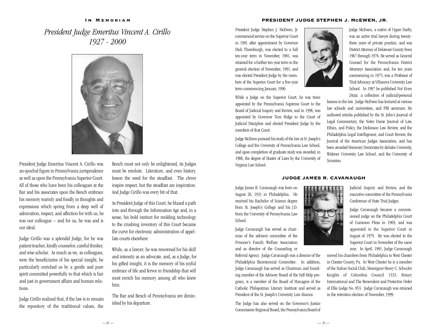### IN MEMORIAM

*President Judge Emeritus Vincent A. Cirillo 1927 - 2000*



President Judge Emeritus Vincent A. Cirillo was an epochal figure in Pennsylvania jurisprudence as well as upon the Pennsylvania Superior Court. All of those who have been his colleagues at the Bar and his associates upon the Bench embrace his memory warmly and fondly in thoughts and expressions which spring from a deep well of admiration, respect, and affection for with us, he was our colleague – and for us, he was and is our ideal.

Judge Cirillo was a splendid Judge, for he was patient teacher, kindly counselor, careful thinker, and wise scholar. As much as we, as colleagues, were the beneficiaries of his special insight, he particularly enriched us by a gentle and pure spirit committed powerfully to that which is fair and just in government affairs and human relations.

Judge Cirillo realized that, if the law is to remain the repository of the traditional values, the Bench must not only be enlightened, its Judges must be resolute. Literature, and even history, lesson the need for the steadfast. The clever inspire respect, but the steadfast are inspiration. And Judge Cirillo was every bit of that.

As President Judge of this Court, he blazed a path into and through the Information Age and, in a sense, his bold instinct for molding technology to the crushing inventory of this Court became the curve for electronic administration of appellate courts elsewhere.

While, as a lawyer, he was renowned for his skill and intensity as an advocate, and, as a Judge, for his gifted insight, it is the memory of his joyful embrace of life and fervor in friendship that will most enrich his memory among all who knew him.

The Bar and Bench of Pennsylvania are diminished by his departure.

### PRESIDENT JUDGE STEPHEN J. McEWEN, JR.

President Judge Stephen J. McEwen, Jr. commenced service on the Superior Court in 1981 after appointment by Governor Dick Thornburgh, was elected to a full ten-year term in November, 1981, was retained for a further ten-year term in the general election of November, 1991, and was elected President Judge by the members of the Superior Court for a five-year term commencing January, 1996.

While a Judge on the Superior Court, he was twice appointed by the Pennsylvania Supreme Court to the Board of Judicial Inquiry and Review, and in 1996, was appointed by Governor Tom Ridge to the Court of Judicial Discipline and elected President Judge by the members of that Court.

Judge McEwen pursued his study of the law at St. Joseph's College and the University of Pennsylvania Law School, and upon completion of graduate study was awarded, in 1986, the degree of Master of Laws by the University of Virginia Law School.



Judge McEwen, a native of Upper Darby, was an active trial lawyer during twentythree years of private practice, and was District Attorney of Delaware County from 1967 through 1976. He served as General Counsel for the Pennsylvania District Attorneys Association and, for ten years commencing in 1975, was a Professor of Trial Advocacy at Villanova University Law School. In 1997 he published *Not Even Dicta*, a collection of judicial/personal

lessons in the law. Judge McEwen has lectured at various law schools and universities, and PBI seminars. He authored articles published by the St. John's Journal of Legal Commentary, the Notre Dame Journal of Law, Ethics, and Policy, the Dickinson Law Review, and the Philadelphia Legal Intelligencer, and Court Review, the Journal of the American Judges Association, and has been awarded Honorary Doctorates by deSales University, Widener University Law School, and the University of Scranton.

# JUDGE JAMES R. CAVANAUGH

Judge James R. Cavanaugh was born on August 26, 1931 in Philadelphia. He received his Bachelor of Science degree from St. Joseph's College and his J.D. from the University of Pennsylvania Law School

Judge Cavanaugh has served as chairman of the advisory committee of the Prisoner's Family Welfare Association and as director of the Counseling or

Referral Agency. Judge Cavanaugh was a director of the Philadelphia Bicentennial Committee. In addition, Judge Cavanaugh has served as Chairman and founding member of the Advisory Board of the Self-Help program, is a member of the Board of Managers of the Catholic Philopatrian Literary Institute and served as President of the St. Joseph's University Law Alumni.

The Judge has also served on the Governor's Justice Commission Regional Board, the Pennsylvania Board of



Judicial Inquiry and Review, and the executive committee of the Pennsylvania Conference of State Trial Judges.

Judge Cavanaugh became a commissioned judge on the Philadelphia Court of Common Pleas in 1969, and was appointed to the Superior Court in August of 1979. He was elected to the Superior Court in November of the same year. In April, 1991, Judge Cavanaugh

moved his chambers from Philadelphia to West Chester in Chester County, Pa. In West Chester he is a member of the Italian Social Club, Monsignor Henry C. Schuyler Knights of Columbus Council 1333, Rotary International and The Benevolent and Protective Order of Elks Lodge No. 853. Judge Cavanaugh was retained in the retention election of November, 1999.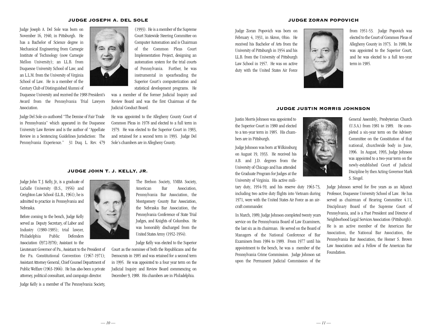### JUDGE JOSEPH A. DEL SOLE

Judge Joseph A. Del Sole was born on November 16, 1940, in Pittsburgh. He has a Bachelor of Science degree in Mechanical Engineering from Carnegie Institute of Technology (now Carnegie Mellon University); an LL.B. from Duquesne University School of Law; and an L.L.M. from the University of Virginia School of Law. He is a member of the Century Club of Distinguished Alumni of

Duquesne University and received the 1988 President's Award from the Pennsylvania Trial Lawyers Association.

Judge Del Sole co-authored "The Demise of Fair Trade in Pennsylvania" which appeared in the Duquesne University Law Review and is the author of "Appellate Review in a Sentencing Guidelines Jurisdiction: The Pennsylvania Experience." 31 Duq. L. Rev. 479



(1993). He is a member of the Supreme Court Statewide Steering Committee on Computer Automation and is Chairman of the Common Pleas Court Implementation Project, designing an automation system for the trial courts of Pennsylvania. Further, he was instrumental in spearheading the Superior Court's computerization and statistical development programs. He

was a member of the former Judicial Inquiry and Review Board and was the first Chairman of the Judicial Conduct Board.

He was appointed to the Allegheny County Court of Common Pleas in 1978 and elected to a full term in 1979. He was elected to the Superior Court in 1983, and retained for a second term in 1993. Judge Del Sole's chambers are in Allegheny County.

### JUDGE JOHN T. J. KELLY, JR.

Judge John T. J. Kelly, Jr., is a graduate of LaSalle University (B.S., 1956) and Creighton Law School (LL.B., 1961); he is admitted to practice in Pennsylvania and Nebraska.

Before coming to the bench, Judge Kelly served as Deputy Secretary, of Labor and Industry (1980-1985); trial lawyer, Philadelphia Public Defenders Association (l972-l978); Assistant to the

Lieutenant Governor of Pa., Assistant to the President of the Pa. Constitutional Convention (1967-1971); Assistant Attorney General, Chief Counsel Department of Public Welfare (1963-1966). He has also been a private attorney, political consultant, and campaign director.

Judge Kelly is a member of The Pennsylvania Society,

The Brehon Society, YMBA Society, American Bar Association, Pennsylvania Bar Association, the Montgomery County Bar Association, the Nebraska Bar Association, the Pennsylvania Conference of State Trial Judges, and Knights of Columbus. He was honorably discharged from the United States Army (1952-1954).

Judge Kelly was elected to the Superior Court as the nominee of both the Republicans and the

Democrats in 1985 and was retained for a second term in 1995. He was appointed to a four year term on the Judicial Inquiry and Review Board commencing on December 9, 1988. His chambers are in Philadelphia.

### JUDGE ZORAN POPOVICH

Judge Zoran Popovich was born on February 4, 1931, in Akron, Ohio. He received his Bachelor of Arts from the University of Pittsburgh in 1954 and his LL.B. from the University of Pittsburgh Law School in 1957. He was on active duty with the United States Air Force



from 1951-53. Judge Popovich was elected to the Court of Common Pleas of Allegheny County in 1973. In 1980, he was appointed to the Superior Court, and he was elected to a full ten-year term in 1985.

# JUDGE JUSTIN MORRIS JOHNSON

Justin Morris Johnson was appointed to the Superior Court in 1980 and elected to a ten-year term in 1985. His chambers are in Pittsburgh.

Judge Johnson was born at Wilkinsburg on August 19, 1933. He received his A.B. and J.D. degrees from the University of Chicago and has attended the Graduate Program for Judges at the University of Virginia. His active mili-

tary duty, 1954-59, and his reserve duty 1963-73, including two active duty flights into Vietnam during 1971, were with the United States Air Force as an aircraft commander.

In March, 1989, Judge Johnson completed twenty years service on the Pennsylvania Board of Law Examiners, the last six as its chairman. He served on the Board of Managers of the National Conference of Bar Examiners from 1984 to 1989. From 1977 until his appointment to the bench, he was a member of the Pennsylvania Crime Commission. Judge Johnson sat upon the Permanent Judicial Commission of the



General Assembly, Presbyterian Church (U.S.A.) from 1981 to 1989. He completed a six-year term on the Advisory Committee on the Constitution of that national, churchwide body in June, 1996. In August, 1993, Judge Johnson was appointed to a two-year term on the newly-established Court of Judicial Discipline by then Acting Governor Mark S. Singel.

Judge Johnson served for five years as an Adjunct Professor, Duquesne University School of Law. He has served as chairman of Hearing Committee 4.11, Disciplinary Board of the Supreme Court of Pennsylvania, and is a Past President and Director of Neighborhood Legal Services Association (Pittsburgh). He is an active member of the American Bar Association, the National Bar Association, the Pennsylvania Bar Association, the Homer S. Brown Law Association and a Fellow of the American Bar Foundation.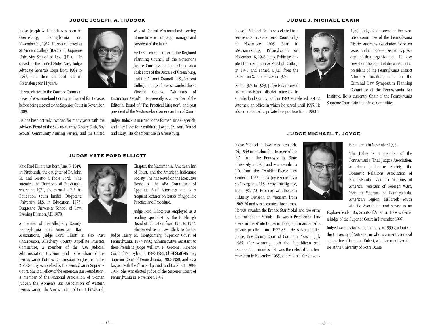### JUDGE JOSEPH A. HUDOCK

Judge Joseph A. Hudock was born in Greensburg, Pennsylvania on November 21, 1937. He was educated at St. Vincent College (B.A.) and Duquesne University School of Law (J.D.). He served in the United States Navy Judge Advocate Generals Corps from 1963 to 1967, and then practiced law in Greensburg for 11 years.

He was elected to the Court of Common

Pleas of Westmoreland County and served for 12 years before being elected to the Superior Court in November, 1989.

He has been actively involved for many years with the Advisory Board of the Salvation Army, Rotary Club, Boy Scouts, Community Nursing Service, and the United



Way of Central Westmoreland, serving at one time as campaign manager and president of the latter.

He has been a member of the Regional Planning Council of the Governor's Justice Commission, the Latrobe Area Task Force of the Diocese of Greensburg, and the Alumni Council of St. Vincent College. In 1987 he was awarded the St. Vincent College "Alumnus of

Distinction Award". He presently is a member of the Editorial Board of "The Practical Litigator", and past president of the Westmoreland American Inn of Court.

Judge Hudock is married to the former Rita Giegerich, and they have four children, Joseph, Jr., Ann, Daniel and Mary. His chambers are in Greensburg.

### JUDGE J. MICHAEL EAKIN

Judge J. Michael Eakin was elected to a ten-year-term as a Superior Court judge in November, 1995. Born in Mechanicsburg, Pennsylvania on November 18, 1948, Judge Eakin graduated from Franklin & Marshall College in 1970 and earned a J.D. from the Dickinson School of Law in 1975.

From 1975 to 1983, Judge Eakin served as an assistant district attorney in

Cumberland County, and in 1983 was elected District Attorney, an office in which he served until 1995. He also maintained a private law practice from 1980 to

1989. Judge Eakin served on the executive committee of the Pennsylvania District Attorneys Association for seven years, and in 1992-93, served as president of that organization. He also served on the board of directors and as president of the Pennsylvania District Attorneys Institute, and on the Criminal Law Symposium Planning Committee of the Pennsylvania Bar

Institute. He is currently Chair of the Pennsylvania Supreme Court Criminal Rules Committee.

# JUDGE MICHAEL T. JOYCE

Judge Michael T. Joyce was born Feb. 24, 1949 in Pittsburgh. He received his B.A. from the Pennsylvania State University in 1973 and was awarded a J.D. from the Franklin Pierce Law Center in 1977. Judge Joyce served as a staff sergeant, U.S. Army Intelligence, from 1967-70. He served with the 25th Infantry Division in Vietnam from 1969-70 and was decorated three times.

He was awarded the Bronze Star Medal and two Army Commendation Medals. He was a Presidential Law Clerk in the White House in 1975, and maintained a private practice from 1977-85. He was appointed judge, Erie County Court of Common Pleas in July 1985 after winning both the Republican and Democratic primaries. He was then elected to a tenyear term in November 1985, and retained for an addi-



tional term in November 1995.

The Judge is a member of the Pennsylvania Trial Judges Association, American Judicature Society, the Domestic Relations Association of Pennsylvania, Vietnam Veterans of America, Veterans of Foreign Wars, Vietnam Veterans of Pennsylvania, American Legion, Millcreek Youth Athletic Association and serves as an

Explorer leader, Boy Scouts of America. He was elected a judge of the Superior Court in November 1997.

Judge Joyce has two sons, Timothy, a 1999 graduate of the University of Notre Dame who is currently a naval submarine officer, and Robert, who is currently a junior at the University of Notre Dame.

Kate Ford Elliott was born June 8, 1949, in Pittsburgh, the daughter of Dr. John M. and Loretto O'Toole Ford. She attended the University of Pittsburgh, where, in 1971, she earned a B.A. in Education (cum laude). Duquesne University, M.S. in Education, 1973; Duquesne University School of Law, Evening Division, J.D. 1978.

A member of the Allegheny County, Pennsylvania and American Bar

Associations, Judge Ford Elliott is also Past Chairperson, Allegheny County Appellate Practice Committee, a member of the ABA Judicial Administration Division, and Vice Chair of the Pennsylvania Futures Commission on Justice in the 21st Century established by the Pennsylvania Supreme Court. She is a Fellow of the American Bar Foundation, a member of the National Association of Women Judges, the Women's Bar Association of Western Pennsylvania, the American Inn of Court, Pittsburgh



JUDGE KATE FORD ELLIOTT

Chapter, the Matrimonial American Inn of Court, and the American Judicature Society. She has served on the Executive Board of the ABA Committee of Appellate Staff Attorneys and is a frequent lecturer on issues of Appellate Practice and Procedure.

Judge Ford Elliott was employed as a reading specialist by the Pittsburgh Board of Education from 1971 to 1977. She served as a Law Clerk to Senior

Judge Harry M. Montgomery, Superior Court of Pennsylvania, 1977-1980; Administrative Assistant to then-President Judge William F. Cercone, Superior Court of Pennsylvania, 1980-1982; Chief Staff Attorney, Superior Court of Pennsylvania, 1982-1988; and as a lawyer with the firm Kirkpatrick and Lockhart, 1988- 1989. She was elected Judge of the Superior Court of Pennsylvania in November, 1989.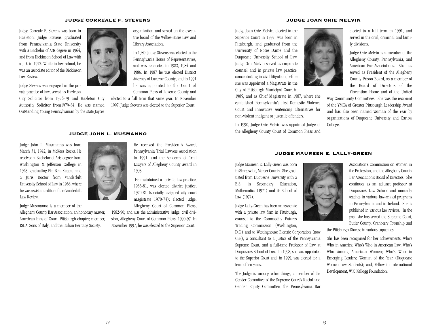### JUDGE CORREALE F. STEVENS

Judge Correale F. Stevens was born in Hazleton. Judge Stevens graduated from Pennsylvania State University with a Bachelor of Arts degree in 1964, and from Dickinson School of Law with a J.D. in 1972. While in law school, he was an associate editor of the Dickinson Law Review.

Judge Stevens was engaged in the private practice of law, served as Hazleton

City Solicitor from 1976-79 and Hazleton City Authority Solicitor from1979-84. He was named Outstanding Young Pennsylvanian by the state Jaycee



organization and served on the executive board of the Wilkes-Barre Law and Library Association.

In 1980, Judge Stevens was elected to the Pennsylvania House of Representatives, and was re-elected in 1982, 1984 and 1986. In 1987 he was elected District Attorney of Luzerne County, and in 1991 he was appointed to the Court of Common Pleas of Luzerne County and

elected to a full term that same year. In November 1997, Judge Stevens was elected to the Superior Court.

#### JUDGE JOHN L. MUSMANNO

Judge John L. Musmanno was born March 31, 1942, in McKees Rocks. He received a Bachelor of Arts degree from Washington & Jefferson College in 1963, graduating Phi Beta Kappa, and a Juris Doctor from Vanderbilt University School of Law in 1966, where he was assistant editor of the Vanderbilt Law Review.

Judge Musmanno is a member of the

Allegheny County Bar Association; an honorary master, American Inns of Court, Pittsburgh chapter; member, ISDA, Sons of Italy, and the Italian Heritage Society.



He received the President's Award, Pennsylvania Trial Lawyers Association in 1991, and the Academy of Trial Lawyers of Allegheny County award in 1993.

He maintained a private law practice, 1966-81, was elected district justice, 1970-81 (specially assigned city court magistrate 1970-73); elected judge, Allegheny Court of Common Pleas,

1982-90; and was the administrative judge, civil division, Allegheny Court of Common Pleas, 1990-97. In November 1997, he was elected to the Superior Court.

### JUDGE JOAN ORIE MELVIN

Judge Joan Orie Melvin, elected to the Superior Court in 1997, was born in Pittsburgh, and graduated from the University of Notre Dame and the Duquesne University School of Law. Judge Orie Melvin served as corporate counsel and in private law practice, concentrating in civil litigation, before she was appointed a Magistrate in the City of Pittsburgh Municipal Court in

1985, and as Chief Magistrate in 1987, where she established Pennsylvania's first Domestic Violence Court and innovative sentencing alternatives for non-violent indigent or juvenile offenders.

In 1990, Judge Orie Melvin was appointed Judge of the Allegheny County Court of Common Pleas and



elected to a full term in 1991, and served in the civil, criminal and family divisions.

Judge Orie Melvin is a member of the Allegheny County, Pennsylvania, and American Bar Associations. She has served as President of the Allegheny County Prison Board, as a member of the Board of Directors of the Vincentian Home and of the United

Way Community Committees. She was the recipient of the YMCA of Greater Pittsburgh Leadership Award and has also been named Woman of the Year by organizations of Duquesne University and Carlow College.

### JUDGE MAUREEN E. LALLY-GREEN

Judge Maureen E. Lally-Green was born in Sharpsville, Mercer County. She graduated from Duquesne University with a B.S. in Secondary Education, Mathematics (1971) and its School of Law (1974).

Judge Lally-Green has been an associate with a private law firm in Pittsburgh, counsel to the Commodity Futures Trading Commission (Washington,

D.C.) and to Westinghouse Electric Corporation (now CBS), a consultant to a Justice of the Pennsylvania Supreme Court, and a full-time Professor of Law at Duquesne's School of Law. In 1998, she was appointed to the Superior Court and, in 1999, was elected for a term of ten years.

The Judge is, among other things, a member of the Gender Committee of the Supreme Court's Racial and Gender Equity Committee, the Pennsylvania Bar



Association's Commission on Women in the Profession, and the Allegheny County Bar Association's Board of Directors. She continues as an adjunct professor at Duquesne's Law School and annually teaches in various law-related programs in Pennsylvania and in Ireland. She is published in various law reviews. In the past, she has served the Supreme Court, Butler County, Cranberry Township and

the Pittsburgh Diocese in various capacities.

She has been recognized for her achievements: Who's Who in America; Who's Who in American Law; Who's Who Among American Women; Who's Who in Emerging Leaders; Woman of the Year (Duquesne Women Law Students); and, Fellow in International Development, W.K. Kellogg Foundation.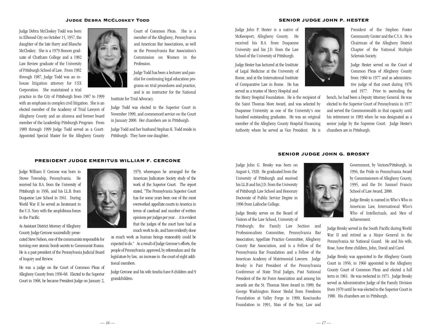### Judge Debra McCloskey Todd

Judge Debra McCloskey Todd was born in Ellwood City on October 15, 1957, the daughter of the late Harry and Blanche McCloskey. She is a 1979 Honors graduate of Chatham College and a 1982 Law Review graduate of the University of Pittsburgh School of Law. From 1982 through 1987, Judge Todd was an inhouse litigation attorney for USX Corporation. She maintained a trial

practice in the City of Pittsburgh from 1987 to 1999 with an emphasis in complex civil litigation. She is an elected member of the Academy of Trial Lawyers of Allegheny County and an alumna and former board member of the Leadership Pittsburgh Program. From 1989 through 1999 Judge Todd served as a Court-Appointed Special Master for the Allegheny County



Court of Common Pleas. She is a member of the Allegheny, Pennsylvania and American Bar Associations, as well as the Pennsylvania Bar Association's Commission on Women in the Profession.

Judge Todd has been a lecturer and panelist for continuing legal education programs on trial procedures and practice, and is an instructor for the National

Institute for Trial Advocacy.

Judge Todd was elected to the Superior Court in November 1999, and commenced service on the Court in January 2000. Her chambers are in Pittsburgh.

Judge Todd and her husband Stephan K. Todd reside in Pittsburgh. They have one daughter.

### SENIOR JUDGE JOHN P. HESTER

Judge John P. Hester is a native of McKeesport, Allegheny County. He received his B.A. from Duquesne University and his J.D. from the Law School of the University of Pittsburgh.

Judge Hester has lectured at the Institute of Legal Medicine at the University of Rome, and at the International Institute of Comparative Law in Rome. He has served as a trustee of Mercy Hospital and

the Mercy Hospital Foundation. He is the recipient of the Saint Thomas More Award, and was selected by Duquesne University as one of the University's one hundred outstanding graduates. He was an original member of the Allegheny County Hospital Financing Authority where he served as Vice President. He is



President of the Stephen Foster Community Center and the C.Y.A. He is Chairman of the Allegheny District Chapter of the National Multiple Sclerosis Society.

Judge Hester served on the Court of Common Pleas of Allegheny County from 1960 to 1977 and as administrative judge of that court during 1976 and 1977. Prior to ascending the

bench, he had been a Deputy Attorney General. He was elected to the Superior Court of Pennsylvania in 1977 and served the Commonwealth in that capacity until his retirement in 1983 when he was designated as a senior judge by the Supreme Court. Judge Hester's chambers are in Pittsburgh.

# SENIOR JUDGE JOHN G. BROSKY

Judge John G. Brosky was born on August 4, 1920. He graduated from the University of Pittsburgh and received his LL.B and his J.D. from the University of Pittsburgh Law School and Honorary Doctorate of Public Service Degree in 1996 from LaRoche College.

Judge Brosky serves on the Board of Visitors of the Law School, University of

Pittsburgh; the Family Law Section and Professionalism Committee, Pennsylvania Bar Association; Appellate Practice Committee, Allegheny County Bar Association, and is a Fellow of the Pennsylvania Bar Foundation and a Fellow of the American Academy of Matrimonial Lawyers. Judge Brosky is Past President of the Pennsylvania Conference of State Trial Judges, Past National President of the Air Force Association and among his awards are the St. Thomas More Award in 1989, the George Washington Honor Medal from Freedoms Foundation at Valley Forge in 1990, Kosciuszko Foundation in 1991, Man of the Year, Law and



Government, by Vectors/Pittsburgh, in 1994, the Pride in Pennsylvania Award by Commissioners of Allegheny County, 1995, and the Dr. Samuel Francis School of Law Award, 2000.

Judge Brosky is named in Who's Who in American Law, International Who's Who of Intellectuals, and Men of Achievement.

Judge Brosky served in the South Pacific during World War II and retired as a Major General in the Pennsylvania Air National Guard. He and his wife, Rose, have three children, John, David and Carol.

Judge Brosky was appointed to the Allegheny County Court in 1956; in 1960 appointed to the Allegheny County Court of Common Pleas and elected a full term in 1961. He was reelected in 1971. Judge Brosky served as Administrative Judge of the Family Division from 1970 until he was elected to the Superior Court in 1980. His chambers are in Pittsburgh.



PRESIDENT JUDGE EMERITUS WILLIAM F. CERCONE

As Assistant District Attorney of Allegheny County Judge Cercone successfully prose-

in the Pacific.

cuted Steve Nelson, one of the communists responsible for turning over atomic bomb secrets to Communist Russia. He is a past president of the Pennsylvania Judicial Board of Inquiry and Review.

He was a judge on the Court of Common Pleas of Allegheny County from 1956-68. Elected to the Superior Court in 1968, he became President Judge on January 2,



American Judicature Society study of the work of the Superior Court. The report stated, "The Pennsylvania Superior Court has for some years been one of the most overworked appellate courts in America in terms of caseload and number of written opinions per judges per year…it is evident that the judges of the court have had as much work to do, and have evidently done

as much work as human beings reasonably could be expected to do." As a result of Judge Cercone's efforts, the people of Pennsylvania approved, by referendum and the legislature by law, an increase in the court of eight additional members.

Judge Cercone and his wife Amelia have 8 children and 9 grandchildren.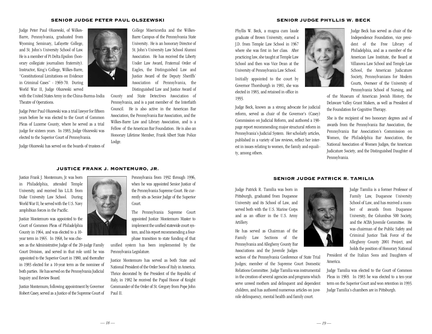### SENIOR JUDGE PETER PAUL OLSZEWSKI

Judge Peter Paul Olszewski, of Wilkes-Barre, Pennsylvania, graduated from Wyoming Seminary, Lafayette College, and St. John's University School of Law. He is a member of Pi Delta Epsilon (honorary collegiate journalism fraternity). Instructor, King's College, Wilkes-Barre, "Constitutional Limitations on Evidence in Criminal Cases" - 1969-70. During World War II, Judge Olszewski served

with the United States Army in the China-Burma-India Theatre of Operations.

Judge Peter Paul Olszewski was a trial lawyer for fifteen years before he was elected to the Court of Common Pleas of Luzerne County, where he served as a trial judge for sixteen years. In 1983, Judge Olszewski was elected to the Superior Court of Pennsylvania.

Judge Olszewski has served on the boards of trustees of



College Misericordia and the Wilkes-Barre Campus of the Pennsylvania State University. He is an honorary Director of St. John's University Law School Alumni Association. He has received the Liberty Under Law Award, Fraternal Order of Eagles, the Distinguished Law and Justice Award of the Deputy Sheriffs' Association of Pennsylvania, the Distinguished Law and Justice Award of

County and State Detectives Association of Pennsylvania, and is a past member of the Interfaith Council. He is also active in the American Bar Association, the Pennsylvania Bar Association, and the Wilkes-Barre Law and Library Association, and is a Fellow of the American Bar Foundation. He is also an Honorary Lifetime Member, Frank Albert State Police Lodge.

# JUSTICE FRANK J. MONTEMURO, JR.

Justice Frank J. Montemuro, Jr. was born in Philadelphia, attended Temple University, and received his L.L.B. from Duke University Law School. During World War II, he served with the U.S. Navy amphibian forces in the Pacific.

Justice Montemuro was appointed to the Court of Common Pleas of Philadelphia County in 1964, and was elected to a 10 year term in 1965. In 1968, he was cho-

sen as the Administrative Judge of the 20-judge Family Court Division, and served in that role until he was appointed to the Superior Court in 1980, and thereafter in 1983 elected for a 10-year term as the nominee of both parties. He has served on the Pennsylvania Judicial Inquiry and Review Board.

Justice Montemuro, following appointment by Governor Robert Casey, served as a Justice of the Supreme Court of



Pennsylvania from 1992 through 1996, when he was appointed Senior Justice of the Pennsylvania Supreme Court. He currently sits as Senior Judge of the Superior Court.

The Pennsylvania Supreme Court appointed Justice Montemuro Master to implement the unified statewide court system, and his report recommending a fourphase transition to state funding of that

unified system has been implemented by the Pennsylvania Legislature.

Justice Montemuro has served as both State and National President of the Order Sons of Italy in America. Thrice decorated by the President of the Republic of Italy, in 1982 he received the Papal Honor of Knight Commander of the Order of St. Gregory from Pope John Paul II.

#### SENIOR JUDGE PHYLLIS W. BECK

Phyllis W. Beck, a magna cum laude graduate of Brown University, earned a J.D. from Temple Law School in 1967 where she was first in her class. After practicing law, she taught at Temple Law School and then was Vice Dean at the University of Pennsylvania Law School.

Initially appointed to the court by Governor Thornburgh in 1981, she was elected in 1983, and retained in office in 1993.

Judge Beck, known as a strong advocate for judicial reform, served as chair of the Governor's (Casey) Commission on Judicial Reform, and authored a 190 page report recommending major structural reform in Pennsylvania's Judicial System. Her scholarly articles, published in a variety of law reviews, reflect her interest in issues relating to women, the family and equality, among others.



Judge Beck has served as chair of the Independence Foundation, vice president of the Free Library of Philadelphia, and as a member of the American Law Institute, the Board at Villanova Law School and Temple Law School, the American Judicature Society, Pennsylvanians for Modern Courts, Overseer of the University of Pennsylvania School of Nursing, and

of the Museum of American Jewish History, the Delaware Valley Grant Makers, as well as President of the Foundation for Cognitive Therapy.

She is the recipient of two honorary degrees and of awards from the Pennsylvania Bar Association, the Pennsylvania Bar Association's Commission on Women, the Philadelphia Bar Association, the National Association of Women Judges, the American Judicature Society, and the Distinguished Daughter of Pennsylvania.

# SENIOR JUDGE PATRICK R. TAMILIA

Judge Patrick R. Tamilia was born in Pittsburgh, graduated from Duquesne University and its School of Law, and served both with the U.S. Marine Corps and as an officer in the U.S. Army Artillery.

He has served as Chairman of the Family Law Sections of the Pennsylvania and Allegheny County Bar Associations and the Juvenile Judges

section of the Pennsylvania Conference of State Trial Judges; member of the Supreme Court Domestic Relations Committee. Judge Tamilia was instrumental in the creation of several agencies and programs which serve unwed mothers and delinquent and dependent children, and has authored numerous articles on juvenile delinquency, mental health and family court.



President of the Italian Sons and Daughters of America.

Judge Tamilia was elected to the Court of Common Pleas in 1969. In 1983 he was elected to a ten-year term on the Superior Court and won retention in 1993. Judge Tamilia's chambers are in Pittsburgh.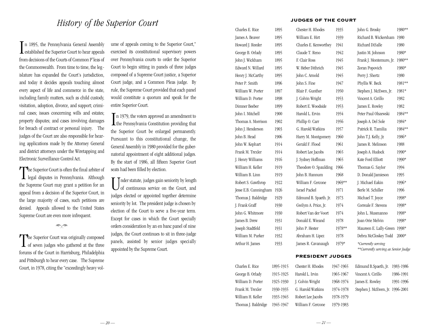In 1895, the Pennsylvania General Assembly<br>established the Superior Court to hear appeals n 1895, the Pennsylvania General Assembly from decisions of the Courts of Common P`leas of the Commonwealth. From time to time, the legislature has expanded the Court's jurisdiction, and today it decides appeals touching almost every aspect of life and commerce in the state, including family matters, such as child custody, visitation, adoption, divorce, and support; criminal cases; issues concerning wills and estates; property disputes; and cases involving damages for breach of contract or personal injury. The judges of the Court are also responsible for hearing applications made by the Attorney General and district attorneys under the Wiretapping and Electronic Surveillance Control Act.

The Superior Court is often the final arbiter of<br>legal disputes in Pennsylvania. Although **L** legal disputes in Pennsylvania. Although the Supreme Court may grant a petition for an appeal from a decision of the Superior Court, in the large majority of cases, such petitions are denied. Appeals allowed to the United States Supreme Court are even more infrequent.

 $\Rightarrow \Rightarrow$ 

The Superior Court was originally composed<br>of seven judges who gathered at the three **L** of seven judges who gathered at the three forums of the Court in Harrisburg, Philadelphia and Pittsburgh to hear every case. The Supreme Court, in 1978, citing the "exceedingly heavy vol-

ume of appeals coming to the Superior Court," exercised its constitutional supervisory powers over Pennsylvania courts to order the Superior Court to begin sitting in panels of three judges composed of a Supreme Court justice, a Superior Court judge, and a Common Pleas judge. By rule, the Supreme Court provided that each panel would constitute a quorum and speak for the entire Superior Court.

In 1979, the voters approved an amendment to<br>the Pennsylvania Constitution providing that **L** the Pennsylvania Constitution providing that the Superior Court be enlarged permanently. Pursuant to this constitutional change, the General Assembly in 1980 provided for the gubernatorial appointment of eight additional judges. By the start of 1986, all fifteen Superior Court seats had been filled by election.

Under statute, judges gain seniority by length<br>of continuous service on the Court, and nder statute, judges gain seniority by length judges elected or appointed together determine seniority by lot. The president judge is chosen by election of the Court to serve a five-year term. Except for cases in which the Court specially orders consideration by an en banc panel of nine judges, the Court continues to sit in three-judge panels, assisted by senior judges specially appointed by the Supreme Court.

# JUDGES OF THE COURT

| Charles E. Rice       | 1895      | Chester H. Rhodes       | 1935      | John G. Brosky                                            | 1980**    |
|-----------------------|-----------|-------------------------|-----------|-----------------------------------------------------------|-----------|
| James A. Beaver       | 1895      | William E. Hirt         | 1939      | Richard B. Wickersham 1980                                |           |
| Howard J. Reeder      | 1895      | Charles E. Kenworthey   | 1941      | Richard DiSalle                                           | 1980      |
| George B. Orlady      | 1895      | Claude T. Reno          | 1942      | Justin M. Johnson                                         | 1980*     |
| John J. Wickham       | 1895      | F. Clair Ross           | 1945      | Frank J. Montemuro, Jr.                                   | 1980**    |
| Edward N. Willard     | 1895      | W. Heber Dithrich       | 1945      | Zoran Popovich                                            | 1980*     |
| Henry J. McCarthy     | 1895      | John C. Arnold          | 1945      | Perry J. Shertz                                           | 1980      |
| Peter P. Smith        | 1896      | John S. Fine            | 1947      | Phyllis W. Beck                                           | 1981**    |
| William W. Porter     | 1897      | Blair F. Gunther        | 1950      | Stephen J. McEwen, Jr.                                    | 1981*     |
| William D. Porter     | 1898      | J. Colvin Wright        | 1953      | Vincent A. Cirillo                                        | 1982      |
| Dimner Beeber         | 1899      | Robert E. Woodside      | 1953      | James E. Rowley                                           | 1982      |
| John I. Mitchell      | 1900      | Harold L. Ervin         | 1954      | Peter Paul Olszewski                                      | 1984**    |
| Thomas A. Morrison    | 1902      | Phillip O. Carr         | 1956      | Joseph A. Del Sole                                        | 1984*     |
| John J. Henderson     | 1903      | G. Harold Watkins       | 1957      | Patrick R. Tamilia                                        | 1984**    |
| John B. Head          | 1906      | Harry M. Montgomery     | 1960      | John T.J. Kelly, Jr.                                      | 1986*     |
| John W. Kephart       | 1914      | Gerald F. Flood         | 1961      | James R. Melinson                                         | 1988      |
| Frank M. Trexler      | 1914      | Robert Lee Jacobs       | 1965      | Joseph A. Hudock                                          | 1990*     |
| J. Henry Williams     | 1916      | J. Sydney Hoffman       | 1965      | Kate Ford Elliott                                         | 1990*     |
| William H. Keller     | 1919      | Theodore O. Spaulding   | 1966      | Thomas G. Saylor                                          | 1994      |
| William B. Linn       | 1919      | John B. Hannum          | 1968      | D. Donald Jamieson                                        | 1995      |
| Robert S. Gawthrop    | 1922      | William F. Cercone      | 1969**    | J. Michael Eakin                                          | 1996*     |
| Jesse E.B. Cunningham | 1926      | Israel Packel           | 1971      | Berle M. Schiller                                         | 1996      |
| Thomas J. Baldridge   | 1929      | Edmund B. Spaeth. Jr.   | 1973      | Michael T. Joyce                                          | 1998*     |
| J. Frank Graff        | 1930      | Gwilym A. Price, Jr.    | 1974      | Correale F. Stevens                                       | 1998*     |
| John G. Whitmore      | 1930      | Robert Van der Voort    | 1974      | John L. Musmanno                                          | 1998*     |
| James B. Drew         | 1931      | Donald E. Wieand        | 1978      | Joan Orie Melvin                                          | 1998*     |
| Joseph Stadtfeld      | 1931      | John P. Hester          | 1978**    | Maureen E. Lally-Green 1998*                              |           |
| William M. Parker     | 1932      | Abraham H. Lipez        | 1978      | Debra McCloskey Todd                                      | 2000*     |
| Arthur H. James       | 1933      | James R. Cavanaugh      | 1979*     | *Currently serving<br>**Currently serving as Senior Judge |           |
|                       |           | <b>PRESIDENT JUDGES</b> |           |                                                           |           |
| Charles E. Rice       | 1895-1915 | Chester H. Rhodes       | 1947-1965 | Edmund B.Spaeth, Jr.                                      | 1983-1986 |
| George B. Orlady      | 1915-1925 | Harold L. Irvin         | 1965-1967 | Vincent A. Cirillo                                        | 1986-1991 |
| William D. Porter     | 1925-1930 | J. Colvin Wright        | 1968-1974 | James E. Rowley                                           | 1991-1996 |
| Frank M. Trexler      | 1930-1935 | G. Harold Watkins       | 1974-1978 | Stephen J. McEwen, Jr. 1996-2001                          |           |

Robert Lee Jacobs 1978-1979 William F. Cercone 1979-1983

William H. Keller 1935-1945 Thomas J. Baldridge 1945-1947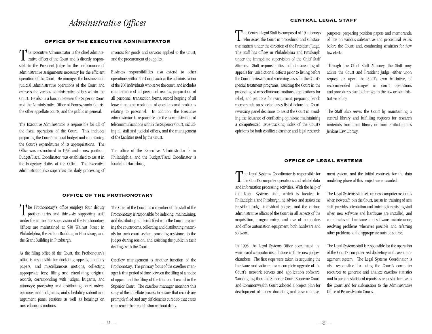# *Administrative Offices*

# OFFICE OF THE EXECUTIVE ADMINISTRATOR

The Executive Administrator is the chief adminis-<br>trative officer of the Court and is directly respontrative officer of the Court and is directly responsible to the President Judge for the performance of administrative assignments necessary for the efficient operation of the Court. He manages the business and judicial administrative operations of the Court and oversees the various administrative offices within the Court. He also is a liaison between the Superior Court and the Administrative Office of Pennsylvania Courts, the other appellate courts, and the public in general.

The Executive Administrator is responsible for all of the fiscal operations of the Court. This includes preparing the Court's annual budget and monitoring the Court's expenditures of its appropriations. The Office was restructured in 1996 and a new position, Budget/Fiscal Coordinator, was established to assist in the budgetary duties of the Office. The Executive Administrator also supervises the daily processing of

invoices for goods and services applied to the Court, and the procurement of supplies.

Business responsibilities also extend to other operations within the Court such as the administration of the 206 individuals who serve the court, and includes maintenance of all personnel records, preparation of all personnel transaction forms, record keeping of all leave time, and resolution of questions and problems relating to personnel. In addition, the Executive Administrator is responsible for the administration of telecommunications within the Superior Court, including all staff and judicial offices, and the management of the facilities used by the Court.

The office of the Executive Administrator is in Philadelphia, and the Budget/Fiscal Coordinator is located in Harrisburg.

# OFFICE OF THE PROTHONOTARY

The Prothonotary's office employs four deputy<br>prothonotaries and thirty-six supporting staff prothonotaries and thirty-six supporting staff under the immediate supervision of the Prothonotary. Offices are maintained at 530 Walnut Street in Philadelphia, the Fulton Building in Harrisburg, and the Grant Building in Pittsburgh.

As the filing office of the Court, the Prothonotary's office is responsible for docketing appeals, ancillary papers, and miscellaneous motions; collecting appropriate fees; filing and circulating original records; corresponding with judges, litigants, and attorneys; processing and distributing court orders, opinions, and judgments; and scheduling submit and argument panel sessions as well as hearings on miscellaneous motions.

The Crier of the Court, as a member of the staff of the Prothonotary, is responsible for indexing, maintaining, and distributing all briefs filed with the Court, preparing the courtrooms, collecting and distributing materials for each court session, providing assistance to the judges during session, and assisting the public in their dealings with the Court.

Caseflow management is another function of the Prothonotary. The primary focus of the caseflow manager is that period of time between the filing of a notice of appeal and the filing of the trial court record in the Superior Court. The caseflow manager monitors this stage of the appellate process to ensure that records are promptly filed and any deficiencies cured so that cases may reach their conclusion without delay.

The Central Legal Staff is composed of 19 attorneys<br>who assist the Court in procedural and substan- $\perp$  who assist the Court in procedural and substantive matters under the direction of the President Judge. The Staff has offices in Philadelphia and Pittsburgh under the immediate supervision of the Chief Staff Attorney. Staff responsibilities include: screening all appeals for jurisdictional defects prior to listing before the Court; reviewing and screening cases for the Court's special treatment programs; assisting the Court in the processing of miscellaneous motions, applications for relief, and petitions for reargument; preparing bench memoranda on selected cases listed before the Court; reviewing panel decisions to assist the Court in avoiding the issuance of conflicting opinions; maintaining a computerized issue-tracking index of the Court's opinions for both conflict clearance and legal research

purposes; preparing position papers and memoranda of law on various substantive and procedural issues before the Court; and, conducting seminars for new law clerks.

Through the Chief Staff Attorney, the Staff may advise the Court and President Judge, either upon request or upon the Staff's own initiative, of recommended changes in court operations and procedures due to changes in the law or administrative policy.

The Staff also serves the Court by maintaining a central library and fulfilling requests for research materials from that library or from Philadelphia's Jenkins Law Library.

# OFFICE OF LEGAL SYSTEMS

The Legal Systems Coordinator is responsible for the Court's computer operations and related data  $\perp$  the Court's computer operations and related data and information processing activities. With the help of the Legal Systems staff, which is located in Philadelphia and Pittsburgh, he advises and assists the President Judge, individual judges, and the various administrative offices of the Court in all aspects of the acquisition, programming and use of computers and office automation equipment, both hardware and software.

In 1996, the Legal Systems Office coordinated the wiring and computer installations in three new judges' chambers. The first steps were taken in acquiring the hardware and software for a complete upgrade of the Court's network servers and application software. Working together, the Superior Court, Supreme Court, and Commonwealth Court adopted a project plan for development of a new docketing and case management system, and the initial contracts for the data modeling phase of this project were awarded.

The Legal Systems staff sets up new computer accounts when new staff join the Court, assists in training of new staff, provides orientation and training for existing staff when new software and hardware are installed, and coordinates all hardware and software maintenance, resolving problems whenever possible and referring other problems to the appropriate outside source.

The Legal Systems staff is responsible for the operation of the Court's computerized docketing and case management system. The Legal Systems Coordinator is also responsible for using the Court's computer resources to generate and analyze caseflow statistics and to prepare statistical reports as requested for use by the Court and for submission to the Administrative Office of Pennsylvania Courts.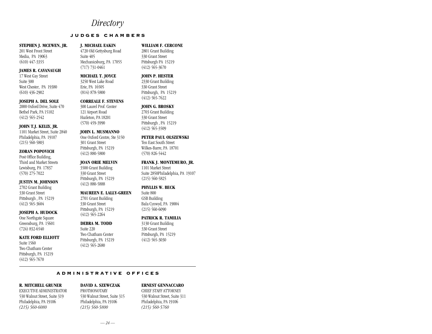# *Directory*

# J U D G E S C H A M B E R S

### **STEPHEN J. MCEWEN, JR.**

201 West Front Street Media, PA 19063 (610) 447-3355

# **JAMES R. CAVANAUGH**

17 West Gay Street Suite 300 West Chester, PA 19380 (610) 436-2902

#### **JOSEPH A. DEL SOLE**

2000 Oxford Drive, Suite 470 Bethel Park, PA 15102 (412) 565-2542

# **JOHN T.J. KELLY, JR.**

1101 Market Street, Suite 2840 Philadelphia, PA 19107  $(215)$  560-5803

#### **ZORAN POPOVICH**

Post Office Building, Third and Market Streets Lewisburg, PA 17837 (570) 275-7022

# **JUSTIN M. JOHNSON**

2702 Grant Building 330 Grant Street Pittsburgh , PA 15219 (412) 565-3604

### **JOSEPH A. HUDOCK**

One Northgate Square Greensburg, PA 15601 (724) 832-6540

### **KATE FORD ELLIOTT**

Suite 1560 Two Chatham Center Pittsburgh, PA 15219 (412) 565-7670

# **J. MICHAEL EAKIN** 4720 Old Gettysburg Road Suite 405 Mechanicsburg, PA 17055 (717) 731-0461

3250 West Lake Road Erie, PA 16505 (814) 878-5800

# **CORREALE F. STEVENS**

**MICHAEL T. JOYCE**

300 Laurel Prof. Center 121 Airport Road Hazleton, PA 18201 (570) 459-3990

### **JOHN L. MUSMANNO**

One Oxford Centre, Ste 3150 301 Grant Street Pittsburgh, PA 15219 (412) 880-5800

### **JOAN ORIE MELVIN**

3500 Grant Building 330 Grant Street Pittsburgh, PA 15219

# **MAUREEN E. LALLY-GREEN**

2701 Grant Building 330 Grant Street Pittsburgh, PA 15219 (412) 565-2264

# **DEBRA M. TODD**

Suite 220 Two Chatham Center Pittsburgh, PA 15219  $(412)$  565-2680

## Pittsburgh PA 15219 (412) 565-3670

**WILLIAM F. CERCONE** 2801 Grant Building 330 Grant Street

**JOHN P. HESTER** 2330 Grant Building 330 Grant Street

# Pittsburgh, PA 15219  $(412)$  565-7622

# **JOHN G. BROSKY**

2703 Grant Building 330 Grant Street Pittsburgh , PA 15219 (412) 565-3509

# **PETER PAUL OLSZEWSKI**

Ten East South Street Wilkes-Barre, PA 18701 (570) 826-5442

# **FRANK J. MONTEMURO, JR.**

1101 Market Street Suite 2850Philadelphia, PA 19107 (215) 560-5825

# **PHYLLIS W. BECK**

Suite 800 GSB Building Bala Cynwyd, PA 19004  $(215)$  560-6090

# **PATRICK R. TAMILIA**

3130 Grant Building 330 Grant Street Pittsburgh, PA 15219 (412) 565-3030

# A D M I N I S T R A T I V E O F F I C E S

# **R. MITCHELL GRUNER**

EXECUTIVE ADMINISTRATOR 530 Walnut Street, Suite 319 Philadelphia, PA 19106 *(215) 560-6080*

### **DAVID A. SZEWCZAK** PROTHONOTARY 530 Walnut Street, Suite 315

Philadelphia, PA 19106 *(215) 560-5800*

# **ERNEST GENNACCARO**

CHIEF STAFF ATTORNEY 530 Walnut Street, Suite 311 Philadelphia, PA 19106 *(215) 560-5760*

(412) 880-5888